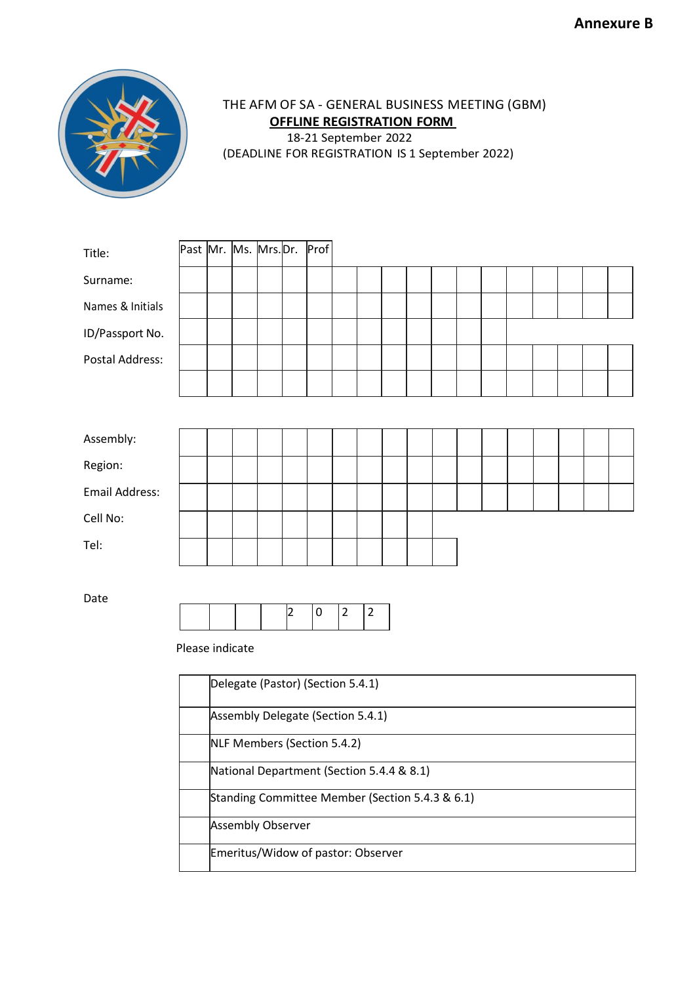

## THE AFM OF SA - GENERAL BUSINESS MEETING (GBM) **OFFLINE REGISTRATION FORM** 18-21 September 2022 (DEADLINE FOR REGISTRATION IS 1 September 2022)

| Title:                | Past Mr. Ms. Mrs. Dr. |  |  |  |   | Prof                              |                |                |  |  |  |  |  |  |  |  |  |
|-----------------------|-----------------------|--|--|--|---|-----------------------------------|----------------|----------------|--|--|--|--|--|--|--|--|--|
| Surname:              |                       |  |  |  |   |                                   |                |                |  |  |  |  |  |  |  |  |  |
| Names & Initials      |                       |  |  |  |   |                                   |                |                |  |  |  |  |  |  |  |  |  |
| ID/Passport No.       |                       |  |  |  |   |                                   |                |                |  |  |  |  |  |  |  |  |  |
| Postal Address:       |                       |  |  |  |   |                                   |                |                |  |  |  |  |  |  |  |  |  |
|                       |                       |  |  |  |   |                                   |                |                |  |  |  |  |  |  |  |  |  |
|                       |                       |  |  |  |   |                                   |                |                |  |  |  |  |  |  |  |  |  |
| Assembly:             |                       |  |  |  |   |                                   |                |                |  |  |  |  |  |  |  |  |  |
| Region:               |                       |  |  |  |   |                                   |                |                |  |  |  |  |  |  |  |  |  |
| <b>Email Address:</b> |                       |  |  |  |   |                                   |                |                |  |  |  |  |  |  |  |  |  |
| Cell No:              |                       |  |  |  |   |                                   |                |                |  |  |  |  |  |  |  |  |  |
| Tel:                  |                       |  |  |  |   |                                   |                |                |  |  |  |  |  |  |  |  |  |
|                       |                       |  |  |  |   |                                   |                |                |  |  |  |  |  |  |  |  |  |
| Date                  |                       |  |  |  | 2 | 0                                 | $\overline{2}$ | $\overline{2}$ |  |  |  |  |  |  |  |  |  |
|                       |                       |  |  |  |   |                                   |                |                |  |  |  |  |  |  |  |  |  |
|                       | Please indicate       |  |  |  |   |                                   |                |                |  |  |  |  |  |  |  |  |  |
|                       |                       |  |  |  |   | Delegate (Pastor) (Section 5.4.1) |                |                |  |  |  |  |  |  |  |  |  |
|                       |                       |  |  |  |   | Assembly Delegate (Section 5.4.1) |                |                |  |  |  |  |  |  |  |  |  |
|                       |                       |  |  |  |   | NLF Members (Section 5.4.2)       |                |                |  |  |  |  |  |  |  |  |  |
|                       |                       |  |  |  |   |                                   |                |                |  |  |  |  |  |  |  |  |  |

National Department (Section 5.4.4 & 8.1)

Emeritus/Widow of pastor: Observer

Assembly Observer

Standing Committee Member (Section 5.4.3 & 6.1)